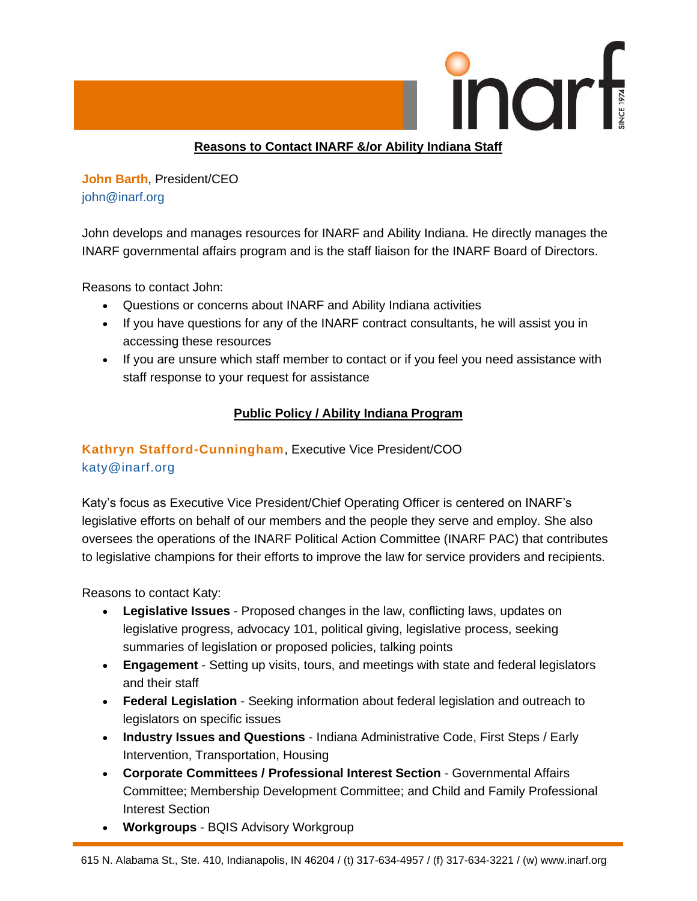

### **Reasons to Contact INARF &/or Ability Indiana Staff**

**John Barth**, President/CEO john@inarf.org

John develops and manages resources for INARF and Ability Indiana. He directly manages the INARF governmental affairs program and is the staff liaison for the INARF Board of Directors.

Reasons to contact John:

- Questions or concerns about INARF and Ability Indiana activities
- If you have questions for any of the INARF contract consultants, he will assist you in accessing these resources
- If you are unsure which staff member to contact or if you feel you need assistance with staff response to your request for assistance

## **Public Policy / Ability Indiana Program**

# **Kathryn Stafford-Cunningham**, Executive Vice President/COO [katy@inarf.org](mailto:katy@inarf.org)

Katy's focus as Executive Vice President/Chief Operating Officer is centered on INARF's legislative efforts on behalf of our members and the people they serve and employ. She also oversees the operations of the INARF Political Action Committee (INARF PAC) that contributes to legislative champions for their efforts to improve the law for service providers and recipients.

Reasons to contact Katy:

- **Legislative Issues** Proposed changes in the law, conflicting laws, updates on legislative progress, advocacy 101, political giving, legislative process, seeking summaries of legislation or proposed policies, talking points
- **Engagement** Setting up visits, tours, and meetings with state and federal legislators and their staff
- **Federal Legislation** Seeking information about federal legislation and outreach to legislators on specific issues
- **Industry Issues and Questions** Indiana Administrative Code, First Steps / Early Intervention, Transportation, Housing
- **Corporate Committees / Professional Interest Section** Governmental Affairs Committee; Membership Development Committee; and Child and Family Professional Interest Section
- **Workgroups** BQIS Advisory Workgroup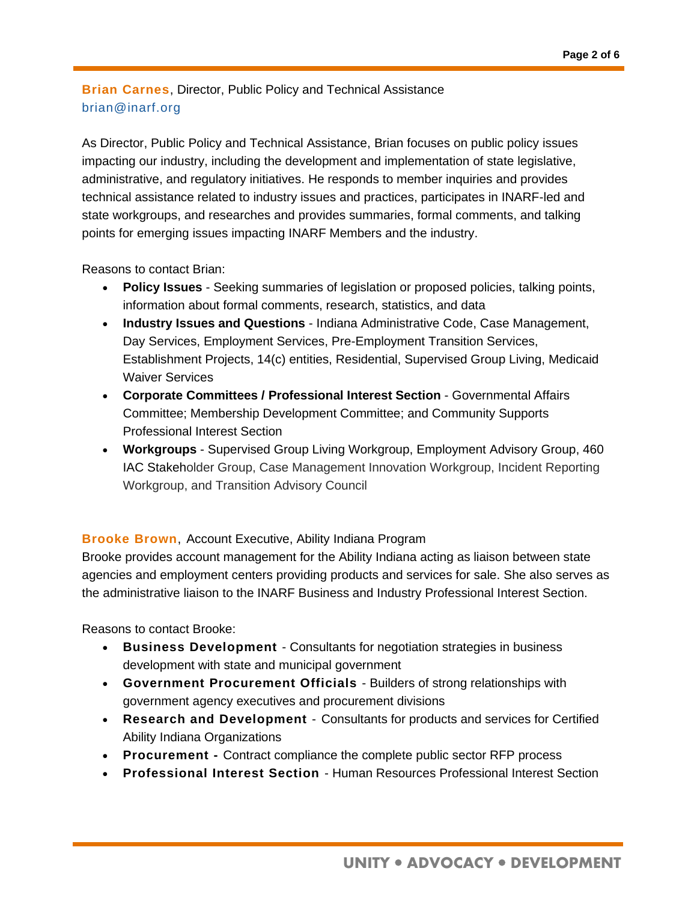## **Brian Carnes**, Director, Public Policy and Technical Assistance [brian@inarf.org](mailto:sarah@inarf.org)

As Director, Public Policy and Technical Assistance, Brian focuses on public policy issues impacting our industry, including the development and implementation of state legislative, administrative, and regulatory initiatives. He responds to member inquiries and provides technical assistance related to industry issues and practices, participates in INARF-led and state workgroups, and researches and provides summaries, formal comments, and talking points for emerging issues impacting INARF Members and the industry.

Reasons to contact Brian:

- **Policy Issues** Seeking summaries of legislation or proposed policies, talking points, information about formal comments, research, statistics, and data
- **Industry Issues and Questions** Indiana Administrative Code, Case Management, Day Services, Employment Services, Pre-Employment Transition Services, Establishment Projects, 14(c) entities, Residential, Supervised Group Living, Medicaid Waiver Services
- **Corporate Committees / Professional Interest Section** Governmental Affairs Committee; Membership Development Committee; and Community Supports Professional Interest Section
- **Workgroups** Supervised Group Living Workgroup, Employment Advisory Group, 460 IAC Stakeholder Group, Case Management Innovation Workgroup, Incident Reporting Workgroup, and Transition Advisory Council

#### **Brooke Brown**, Account Executive, Ability Indiana Program

Brooke provides account management for the Ability Indiana acting as liaison between state agencies and employment centers providing products and services for sale. She also serves as the administrative liaison to the INARF Business and Industry Professional Interest Section.

Reasons to contact Brooke:

- **Business Development** Consultants for negotiation strategies in business development with state and municipal government
- **Government Procurement Officials** Builders of strong relationships with government agency executives and procurement divisions
- **Research and Development**  Consultants for products and services for Certified Ability Indiana Organizations
- **Procurement -** Contract compliance the complete public sector RFP process
- **Professional Interest Section** Human Resources Professional Interest Section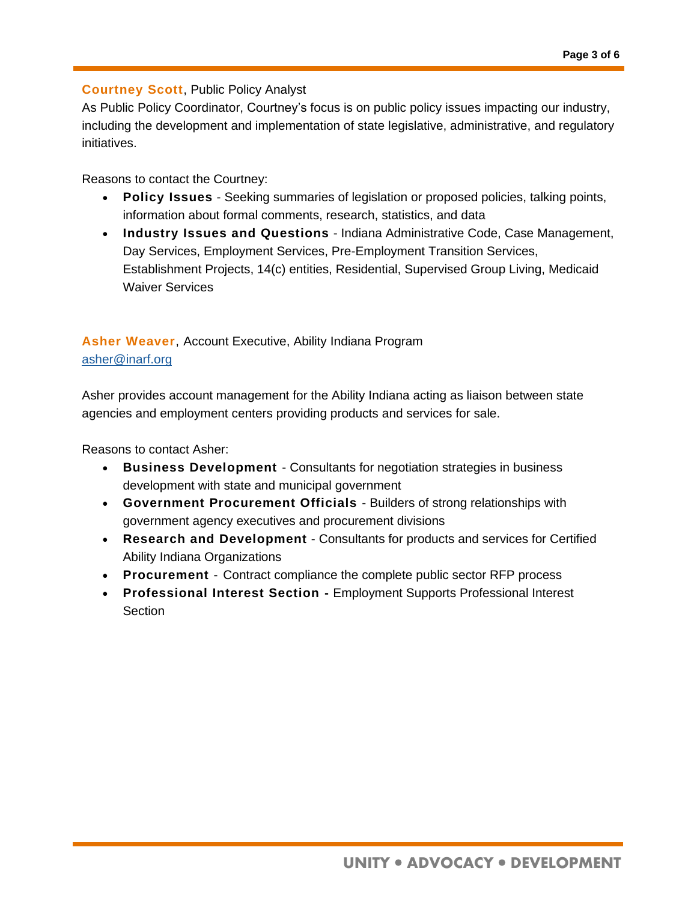### **Courtney Scott**, Public Policy Analyst

As Public Policy Coordinator, Courtney's focus is on public policy issues impacting our industry, including the development and implementation of state legislative, administrative, and regulatory initiatives.

Reasons to contact the Courtney:

- **Policy Issues** Seeking summaries of legislation or proposed policies, talking points, information about formal comments, research, statistics, and data
- **Industry Issues and Questions** Indiana Administrative Code, Case Management, Day Services, Employment Services, Pre-Employment Transition Services, Establishment Projects, 14(c) entities, Residential, Supervised Group Living, Medicaid Waiver Services

## **Asher Weaver**, Account Executive, Ability Indiana Program [asher@inarf.org](mailto:asher@inarf.org)

Asher provides account management for the Ability Indiana acting as liaison between state agencies and employment centers providing products and services for sale.

Reasons to contact Asher:

- **Business Development** Consultants for negotiation strategies in business development with state and municipal government
- **Government Procurement Officials** Builders of strong relationships with government agency executives and procurement divisions
- **Research and Development** Consultants for products and services for Certified Ability Indiana Organizations
- **Procurement**  Contract compliance the complete public sector RFP process
- **Professional Interest Section -** Employment Supports Professional Interest **Section**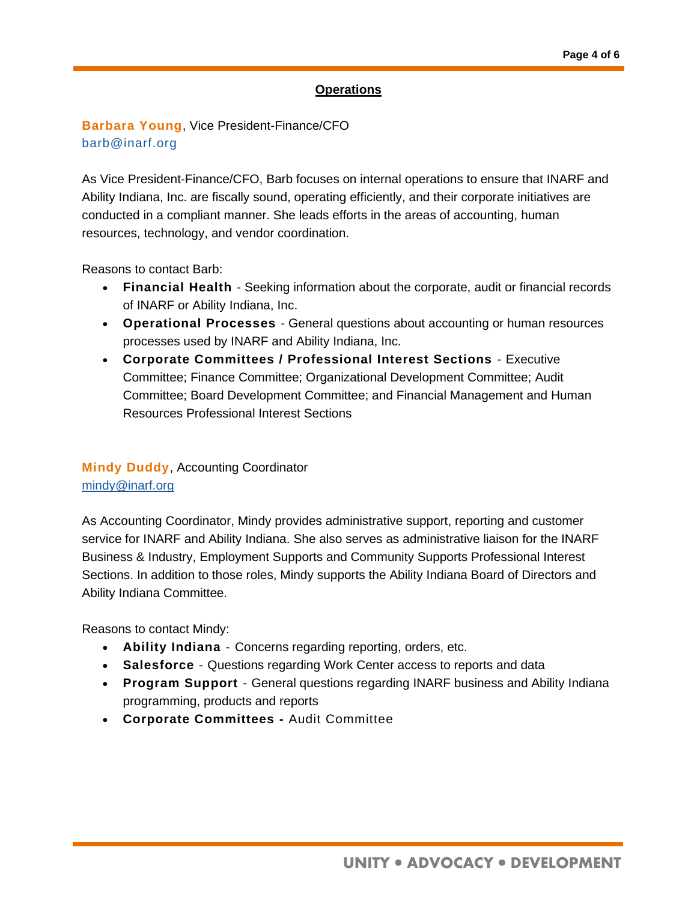#### **Operations**

## **Barbara Young**, Vice President-Finance/CFO [barb@inarf.org](mailto:barb@inarf.org)

As Vice President-Finance/CFO, Barb focuses on internal operations to ensure that INARF and Ability Indiana, Inc. are fiscally sound, operating efficiently, and their corporate initiatives are conducted in a compliant manner. She leads efforts in the areas of accounting, human resources, technology, and vendor coordination.

Reasons to contact Barb:

- **Financial Health** Seeking information about the corporate, audit or financial records of INARF or Ability Indiana, Inc.
- **Operational Processes** General questions about accounting or human resources processes used by INARF and Ability Indiana, Inc.
- **Corporate Committees / Professional Interest Sections**  Executive Committee; Finance Committee; Organizational Development Committee; Audit Committee; Board Development Committee; and Financial Management and Human Resources Professional Interest Sections

### **Mindy Duddy**, Accounting Coordinator [mindy@inarf.org](mailto:mindy@inarf.org)

As Accounting Coordinator, Mindy provides administrative support, reporting and customer service for INARF and Ability Indiana. She also serves as administrative liaison for the INARF Business & Industry, Employment Supports and Community Supports Professional Interest Sections. In addition to those roles, Mindy supports the Ability Indiana Board of Directors and Ability Indiana Committee.

Reasons to contact Mindy:

- **Ability Indiana**  Concerns regarding reporting, orders, etc.
- **Salesforce**  Questions regarding Work Center access to reports and data
- **Program Support**  General questions regarding INARF business and Ability Indiana programming, products and reports
- **Corporate Committees -** Audit Committee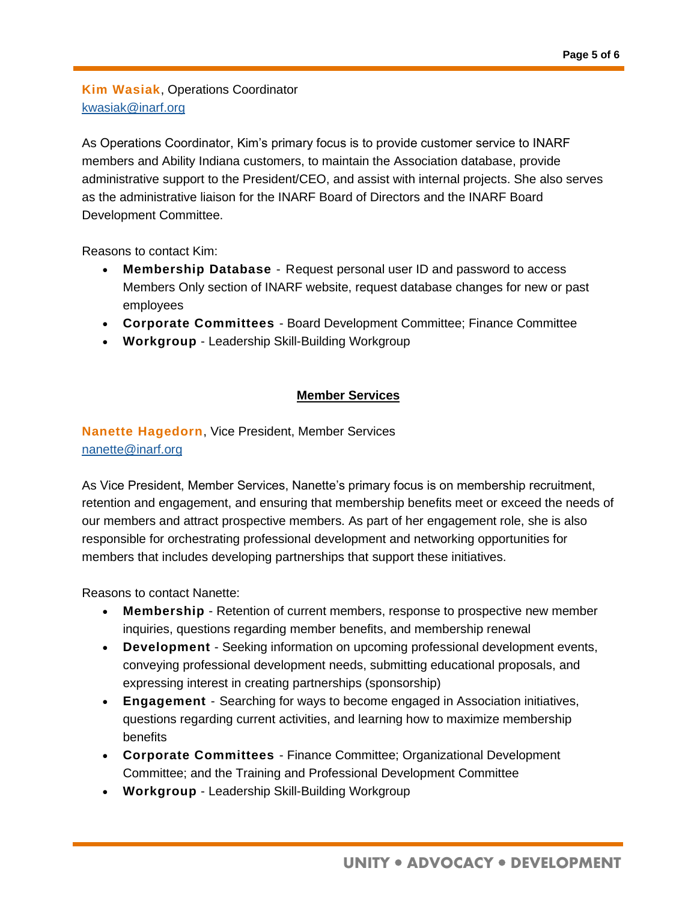**Kim Wasiak**, Operations Coordinator [kwasiak@inarf.org](mailto:kwasiak@inarf.org)

As Operations Coordinator, Kim's primary focus is to provide customer service to INARF members and Ability Indiana customers, to maintain the Association database, provide administrative support to the President/CEO, and assist with internal projects. She also serves as the administrative liaison for the INARF Board of Directors and the INARF Board Development Committee.

Reasons to contact Kim:

- **Membership Database**  Request personal user ID and password to access Members Only section of INARF website, request database changes for new or past employees
- **Corporate Committees** Board Development Committee; Finance Committee
- **Workgroup** Leadership Skill-Building Workgroup

### **Member Services**

# **Nanette Hagedorn**, Vice President, Member Services [nanette@inarf.org](mailto:nanette@inarf.org)

As Vice President, Member Services, Nanette's primary focus is on membership recruitment, retention and engagement, and ensuring that membership benefits meet or exceed the needs of our members and attract prospective members. As part of her engagement role, she is also responsible for orchestrating professional development and networking opportunities for members that includes developing partnerships that support these initiatives.

Reasons to contact Nanette:

- **Membership** Retention of current members, response to prospective new member inquiries, questions regarding member benefits, and membership renewal
- **Development** Seeking information on upcoming professional development events, conveying professional development needs, submitting educational proposals, and expressing interest in creating partnerships (sponsorship)
- **Engagement**  Searching for ways to become engaged in Association initiatives, questions regarding current activities, and learning how to maximize membership benefits
- **Corporate Committees** Finance Committee; Organizational Development Committee; and the Training and Professional Development Committee
- **Workgroup** Leadership Skill-Building Workgroup